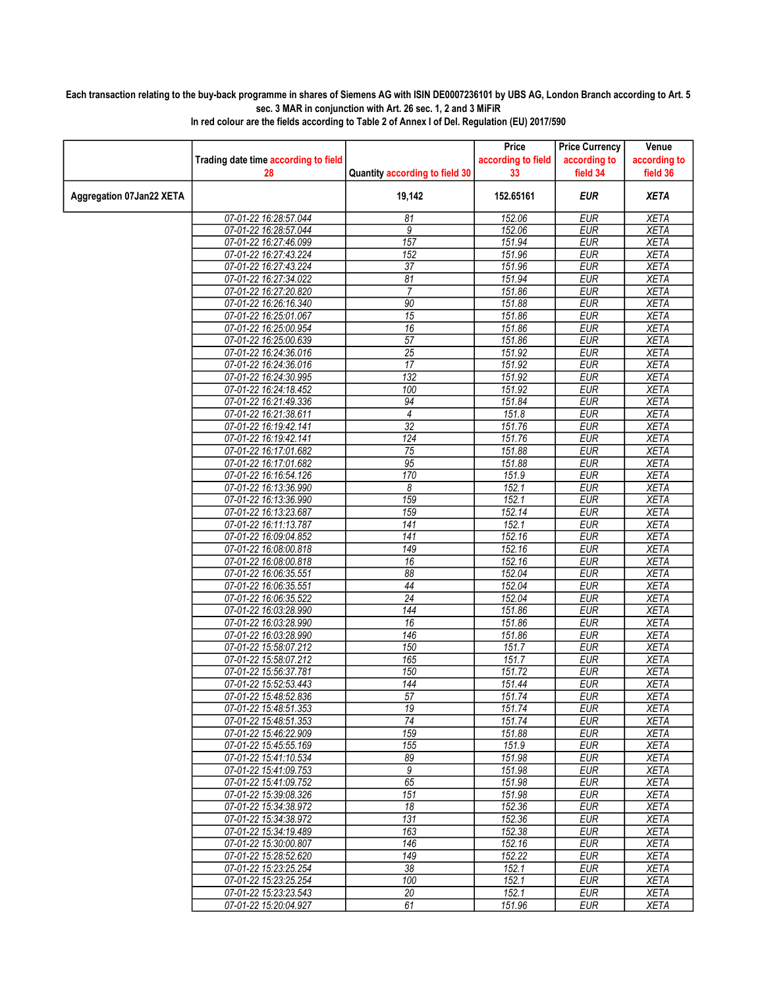## Each transaction relating to the buy-back programme in shares of Siemens AG with ISIN DE0007236101 by UBS AG, London Branch according to Art. 5 sec. 3 MAR in conjunction with Art. 26 sec. 1, 2 and 3 MiFiR

|                          |                                                |                                | Price              | <b>Price Currency</b>    | Venue                      |
|--------------------------|------------------------------------------------|--------------------------------|--------------------|--------------------------|----------------------------|
|                          | Trading date time according to field           |                                | according to field | according to             | according to               |
|                          | 28                                             | Quantity according to field 30 | 33                 | field 34                 | field 36                   |
| Aggregation 07Jan22 XETA |                                                | 19,142                         | 152.65161          | <b>EUR</b>               | <b>XETA</b>                |
|                          | 07-01-22 16:28:57.044                          | 81                             | 152.06             | <b>EUR</b>               | <b>XETA</b>                |
|                          | 07-01-22 16:28:57.044                          | 9                              | 152.06             | <b>EUR</b>               | <b>XETA</b>                |
|                          | 07-01-22 16:27:46.099                          | 157                            | 151.94             | <b>EUR</b>               | <b>XETA</b>                |
|                          | 07-01-22 16:27:43.224                          | 152                            | 151.96             | <b>EUR</b>               | <b>XETA</b>                |
|                          | 07-01-22 16:27:43.224                          | 37                             | 151.96             | <b>EUR</b>               | <b>XETA</b>                |
|                          | 07-01-22 16:27:34.022                          | 81                             | 151.94             | <b>EUR</b>               | <b>XETA</b>                |
|                          | 07-01-22 16:27:20.820                          | $\overline{7}$                 | 151.86             | <b>EUR</b>               | <b>XETA</b>                |
|                          | 07-01-22 16:26:16.340                          | 90                             | 151.88             | <b>EUR</b>               | <b>XETA</b>                |
|                          | 07-01-22 16:25:01.067                          | $\overline{15}$                | 151.86             | <b>EUR</b>               | <b>XETA</b>                |
|                          | 07-01-22 16:25:00.954                          | 16                             | 151.86             | <b>EUR</b>               | <b>XETA</b>                |
|                          | 07-01-22 16:25:00.639                          | $\overline{57}$                | 151.86             | <b>EUR</b>               | <b>XETA</b>                |
|                          | 07-01-22 16:24:36.016                          | $\overline{25}$                | 151.92             | <b>EUR</b>               | <b>XETA</b>                |
|                          | 07-01-22 16:24:36.016                          | 17                             | 151.92             | <b>EUR</b>               | <b>XETA</b>                |
|                          | 07-01-22 16:24:30.995                          | 132                            | 151.92             | <b>EUR</b>               | <b>XETA</b>                |
|                          | 07-01-22 16:24:18.452                          | 100                            | 151.92             | <b>EUR</b>               | <b>XETA</b>                |
|                          | 07-01-22 16:21:49.336                          | 94                             | 151.84             | <b>EUR</b>               | <b>XETA</b>                |
|                          | 07-01-22 16:21:38.611                          | $\overline{4}$                 | 151.8              | <b>EUR</b>               | <b>XETA</b>                |
|                          | 07-01-22 16:19:42.141                          | $\overline{32}$                | 151.76             | EUR                      | <b>XETA</b>                |
|                          | 07-01-22 16:19:42.141                          | 124                            | 151.76             | <b>EUR</b>               | <b>XETA</b>                |
|                          | 07-01-22 16:17:01.682                          | 75                             | 151.88             | EUR                      | <b>XETA</b>                |
|                          | 07-01-22 16:17:01.682                          | 95                             | 151.88             | <b>EUR</b>               | <b>XETA</b>                |
|                          | 07-01-22 16:16:54.126                          | 170                            | 151.9              | <b>EUR</b>               | <b>XETA</b>                |
|                          | 07-01-22 16:13:36.990                          | 8                              | 152.1              | <b>EUR</b>               | <b>XETA</b>                |
|                          | 07-01-22 16:13:36.990                          | 159                            | 152.1              | <b>EUR</b>               | <b>XETA</b>                |
|                          | 07-01-22 16:13:23.687                          | 159                            | 152.14             | <b>EUR</b>               | <b>XETA</b>                |
|                          | 07-01-22 16:11:13.787                          | $\overline{141}$               | 152.1              | <b>EUR</b>               | <b>XETA</b>                |
|                          | 07-01-22 16:09:04.852                          | 141                            | 152.16             | <b>EUR</b>               | <b>XETA</b>                |
|                          | 07-01-22 16:08:00.818                          | 149                            | 152.16<br>152.16   | <b>EUR</b><br><b>EUR</b> | <b>XETA</b><br><b>XETA</b> |
|                          | 07-01-22 16:08:00.818                          | 16                             |                    |                          |                            |
|                          | 07-01-22 16:06:35.551<br>07-01-22 16:06:35.551 | 88<br>44                       | 152.04<br>152.04   | <b>EUR</b><br><b>EUR</b> | <b>XETA</b><br><b>XETA</b> |
|                          |                                                | 24                             | 152.04             | <b>EUR</b>               | <b>XETA</b>                |
|                          | 07-01-22 16:06:35.522<br>07-01-22 16:03:28.990 | 144                            | 151.86             | <b>EUR</b>               | <b>XETA</b>                |
|                          | 07-01-22 16:03:28.990                          | 16                             | 151.86             | <b>EUR</b>               | <b>XETA</b>                |
|                          | 07-01-22 16:03:28.990                          | 146                            | 151.86             | <b>EUR</b>               | <b>XETA</b>                |
|                          | 07-01-22 15:58:07.212                          | 150                            | 151.7              | <b>EUR</b>               | <b>XETA</b>                |
|                          | 07-01-22 15:58:07.212                          | 165                            | 151.7              | <b>EUR</b>               | <b>XETA</b>                |
|                          | 07-01-22 15:56:37.781                          | 150                            | 151.72             | <b>EUR</b>               | <b>XETA</b>                |
|                          | 07-01-22 15:52:53.443                          | 144                            | 151.44             | <b>EUR</b>               | <b>XETA</b>                |
|                          | 07-01-22 15:48:52.836                          | $\overline{57}$                | 151.74             | <b>EUR</b>               | <b>XETA</b>                |
|                          | 07-01-22 15:48:51.353                          | 19                             | 151.74             | EUR                      | XETA                       |
|                          | 07-01-22 15:48:51.353                          | $\overline{74}$                | 151.74             | <b>EUR</b>               | <b>XETA</b>                |
|                          | 07-01-22 15:46:22.909                          | 159                            | 151.88             | <b>EUR</b>               | <b>XETA</b>                |
|                          | 07-01-22 15:45:55.169                          | 155                            | 151.9              | <b>EUR</b>               | XETA                       |
|                          | 07-01-22 15:41:10.534                          | 89                             | 151.98             | <b>EUR</b>               | <b>XETA</b>                |
|                          | 07-01-22 15:41:09.753                          | 9                              | 151.98             | <b>EUR</b>               | XETA                       |
|                          | 07-01-22 15:41:09.752                          | 65                             | 151.98             | <b>EUR</b>               | <b>XETA</b>                |
|                          | 07-01-22 15:39:08.326                          | 151                            | 151.98             | <b>EUR</b>               | <b>XETA</b>                |
|                          | 07-01-22 15:34:38.972                          | 18                             | 152.36             | <b>EUR</b>               | <b>XETA</b>                |
|                          | 07-01-22 15:34:38.972                          | 131                            | 152.36             | <b>EUR</b>               | <b>XETA</b>                |
|                          | 07-01-22 15:34:19.489                          | 163                            | 152.38             | <b>EUR</b>               | <b>XETA</b>                |
|                          | 07-01-22 15:30:00.807                          | 146                            | 152.16             | <b>EUR</b>               | <b>XETA</b>                |
|                          | 07-01-22 15:28:52.620                          | 149                            | 152.22             | <b>EUR</b>               | <b>XETA</b>                |
|                          | 07-01-22 15:23:25.254                          | 38                             | 152.1              | <b>EUR</b>               | XETA                       |
|                          | 07-01-22 15:23:25.254                          | 100                            | 152.1              | <b>EUR</b>               | <b>XETA</b>                |
|                          | 07-01-22 15:23:23.543                          | 20                             | 152.1              | <b>EUR</b>               | <b>XETA</b>                |
|                          | 07-01-22 15:20:04.927                          | 61                             | 151.96             | EUR                      | XETA                       |

In red colour are the fields according to Table 2 of Annex I of Del. Regulation (EU) 2017/590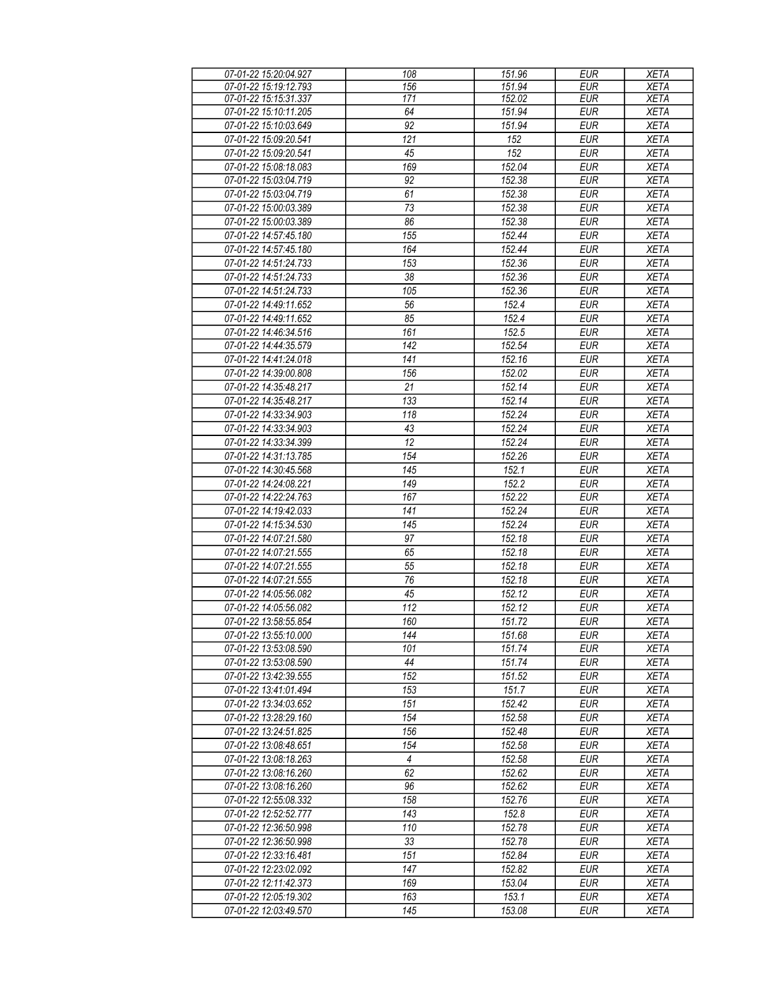| 07-01-22 15:20:04.927 | 108             | 151.96 | <b>EUR</b> | <b>XETA</b> |
|-----------------------|-----------------|--------|------------|-------------|
| 07-01-22 15:19:12.793 | 156             | 151.94 | EUR        | <b>XETA</b> |
| 07-01-22 15:15:31.337 | 171             | 152.02 | <b>EUR</b> | <b>XETA</b> |
| 07-01-22 15:10:11.205 | 64              | 151.94 | <b>EUR</b> | <b>XETA</b> |
| 07-01-22 15:10:03.649 | $\overline{92}$ | 151.94 | <b>EUR</b> | <b>XETA</b> |
| 07-01-22 15:09:20.541 | 121             | 152    | <b>EUR</b> | <b>XETA</b> |
| 07-01-22 15:09:20.541 | 45              | 152    | <b>EUR</b> | <b>XETA</b> |
|                       |                 |        |            |             |
| 07-01-22 15:08:18.083 | 169             | 152.04 | <b>EUR</b> | <b>XETA</b> |
| 07-01-22 15:03:04.719 | 92              | 152.38 | <b>EUR</b> | <b>XETA</b> |
| 07-01-22 15:03:04.719 | 61              | 152.38 | <b>EUR</b> | <b>XETA</b> |
| 07-01-22 15:00:03.389 | 73              | 152.38 | <b>EUR</b> | <b>XETA</b> |
| 07-01-22 15:00:03.389 | 86              | 152.38 | <b>EUR</b> | <b>XETA</b> |
| 07-01-22 14:57:45.180 | 155             | 152.44 | <b>EUR</b> | <b>XETA</b> |
| 07-01-22 14:57:45.180 | 164             | 152.44 | <b>EUR</b> | <b>XETA</b> |
| 07-01-22 14:51:24.733 | 153             | 152.36 | <b>EUR</b> | <b>XETA</b> |
| 07-01-22 14:51:24.733 | 38              | 152.36 | <b>EUR</b> | <b>XETA</b> |
| 07-01-22 14:51:24.733 | 105             | 152.36 | <b>EUR</b> | <b>XETA</b> |
| 07-01-22 14:49:11.652 | 56              | 152.4  | <b>EUR</b> | <b>XETA</b> |
| 07-01-22 14:49:11.652 | 85              | 152.4  | <b>EUR</b> | <b>XETA</b> |
| 07-01-22 14:46:34.516 | 161             | 152.5  | <b>EUR</b> | <b>XETA</b> |
| 07-01-22 14:44:35.579 | 142             | 152.54 | <b>EUR</b> | <b>XETA</b> |
| 07-01-22 14:41:24.018 | 141             | 152.16 | <b>EUR</b> | <b>XETA</b> |
|                       |                 |        | <b>EUR</b> |             |
| 07-01-22 14:39:00.808 | 156             | 152.02 |            | <b>XETA</b> |
| 07-01-22 14:35:48.217 | 21              | 152.14 | <b>EUR</b> | <b>XETA</b> |
| 07-01-22 14:35:48.217 | 133             | 152.14 | <b>EUR</b> | <b>XETA</b> |
| 07-01-22 14:33:34.903 | 118             | 152.24 | <b>EUR</b> | <b>XETA</b> |
| 07-01-22 14:33:34.903 | 43              | 152.24 | <b>EUR</b> | <b>XETA</b> |
| 07-01-22 14:33:34.399 | 12              | 152.24 | <b>EUR</b> | <b>XETA</b> |
| 07-01-22 14:31:13.785 | 154             | 152.26 | <b>EUR</b> | <b>XETA</b> |
| 07-01-22 14:30:45.568 | 145             | 152.1  | <b>EUR</b> | <b>XETA</b> |
| 07-01-22 14:24:08.221 | 149             | 152.2  | <b>EUR</b> | <b>XETA</b> |
| 07-01-22 14:22:24.763 | 167             | 152.22 | <b>EUR</b> | <b>XETA</b> |
| 07-01-22 14:19:42.033 | 141             | 152.24 | <b>EUR</b> | <b>XETA</b> |
| 07-01-22 14:15:34.530 | 145             | 152.24 | <b>EUR</b> | <b>XETA</b> |
| 07-01-22 14:07:21.580 | 97              | 152.18 | <b>EUR</b> | <b>XETA</b> |
| 07-01-22 14:07:21.555 | 65              | 152.18 | <b>EUR</b> | <b>XETA</b> |
| 07-01-22 14:07:21.555 | 55              | 152.18 | <b>EUR</b> | <b>XETA</b> |
| 07-01-22 14:07:21.555 | 76              | 152.18 | <b>EUR</b> | <b>XETA</b> |
| 07-01-22 14:05:56.082 | 45              | 152.12 | <b>EUR</b> | <b>XETA</b> |
| 07-01-22 14:05:56.082 | 112             | 152.12 | <b>EUR</b> | <b>XETA</b> |
| 07-01-22 13:58:55.854 | 160             | 151.72 | <b>EUR</b> | <b>XETA</b> |
|                       |                 |        |            |             |
| 07-01-22 13:55:10.000 | 144             | 151.68 | <b>EUR</b> | <b>XETA</b> |
| 07-01-22 13:53:08.590 | 101             | 151.74 | <b>EUR</b> | <b>XETA</b> |
| 07-01-22 13:53:08.590 | 44              | 151.74 | <b>EUR</b> | <b>XETA</b> |
| 07-01-22 13:42:39.555 | 152             | 151.52 | <b>EUR</b> | <b>XETA</b> |
| 07-01-22 13:41:01.494 | 153             | 151.7  | <b>EUR</b> | <b>XETA</b> |
| 07-01-22 13:34:03.652 | 151             | 152.42 | <b>EUR</b> | <b>XETA</b> |
| 07-01-22 13:28:29.160 | 154             | 152.58 | <b>EUR</b> | <b>XETA</b> |
| 07-01-22 13:24:51.825 | 156             | 152.48 | <b>EUR</b> | <b>XETA</b> |
| 07-01-22 13:08:48.651 | 154             | 152.58 | <b>EUR</b> | <b>XETA</b> |
| 07-01-22 13:08:18.263 | 4               | 152.58 | <b>EUR</b> | <b>XETA</b> |
| 07-01-22 13:08:16.260 | 62              | 152.62 | <b>EUR</b> | <b>XETA</b> |
| 07-01-22 13:08:16.260 | 96              | 152.62 | <b>EUR</b> | <b>XETA</b> |
| 07-01-22 12:55:08.332 | 158             | 152.76 | <b>EUR</b> | <b>XETA</b> |
| 07-01-22 12:52:52.777 | 143             | 152.8  | <b>EUR</b> | <b>XETA</b> |
| 07-01-22 12:36:50.998 | 110             | 152.78 | <b>EUR</b> | <b>XETA</b> |
| 07-01-22 12:36:50.998 | 33              | 152.78 | <b>EUR</b> | <b>XETA</b> |
| 07-01-22 12:33:16.481 | 151             | 152.84 | <b>EUR</b> | <b>XETA</b> |
| 07-01-22 12:23:02.092 | 147             | 152.82 | <b>EUR</b> | <b>XETA</b> |
| 07-01-22 12:11:42.373 | 169             | 153.04 | <b>EUR</b> | <b>XETA</b> |
| 07-01-22 12:05:19.302 | 163             | 153.1  | <b>EUR</b> | <b>XETA</b> |
|                       |                 |        |            |             |
| 07-01-22 12:03:49.570 | 145             | 153.08 | <b>EUR</b> | <b>XETA</b> |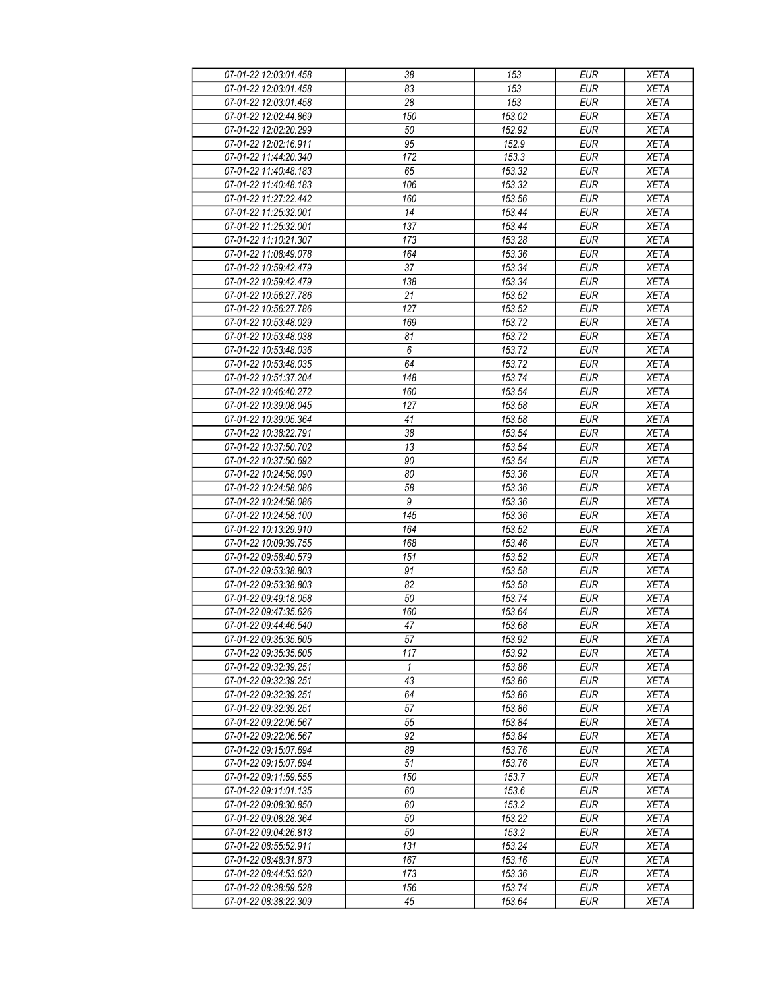| 07-01-22 12:03:01.458                          | 38              | 153              | <b>EUR</b>               | <b>XETA</b>                |
|------------------------------------------------|-----------------|------------------|--------------------------|----------------------------|
| 07-01-22 12:03:01.458                          | 83              | 153              | <b>EUR</b>               | <b>XETA</b>                |
| 07-01-22 12:03:01.458                          | 28              | 153              | <b>EUR</b>               | <b>XETA</b>                |
| 07-01-22 12:02:44.869                          | 150             | 153.02           | <b>EUR</b>               | <b>XETA</b>                |
| 07-01-22 12:02:20.299                          | 50              | 152.92           | <b>EUR</b>               | <b>XETA</b>                |
| 07-01-22 12:02:16.911                          | 95              | 152.9            | <b>EUR</b>               | <b>XETA</b>                |
| 07-01-22 11:44:20.340                          | 172             | 153.3            | <b>EUR</b>               | <b>XETA</b>                |
| 07-01-22 11:40:48.183                          | 65              | 153.32           | <b>EUR</b>               | <b>XETA</b>                |
| 07-01-22 11:40:48.183                          | 106             | 153.32           | <b>EUR</b>               | <b>XETA</b>                |
| 07-01-22 11:27:22.442                          | 160             | 153.56           | <b>EUR</b>               | <b>XETA</b>                |
| 07-01-22 11:25:32.001                          | 14              | 153.44           | <b>EUR</b>               | <b>XETA</b>                |
| 07-01-22 11:25:32.001                          | 137             | 153.44           | <b>EUR</b>               | <b>XETA</b>                |
| 07-01-22 11:10:21.307                          | 173             | 153.28           | <b>EUR</b>               | <b>XETA</b>                |
| 07-01-22 11:08:49.078                          | 164             | 153.36           | <b>EUR</b>               | <b>XETA</b>                |
| 07-01-22 10:59:42.479                          | $\overline{37}$ | 153.34           | <b>EUR</b>               | <b>XETA</b>                |
| 07-01-22 10:59:42.479                          | 138             | 153.34           | <b>EUR</b>               | <b>XETA</b>                |
| 07-01-22 10:56:27.786                          | 21              | 153.52           | <b>EUR</b>               | <b>XETA</b>                |
| 07-01-22 10:56:27.786                          | 127             | 153.52           | <b>EUR</b>               | <b>XETA</b>                |
| 07-01-22 10:53:48.029                          | 169             | 153.72           | <b>EUR</b>               | <b>XETA</b>                |
| 07-01-22 10:53:48.038                          | 81              | 153.72           | <b>EUR</b>               | <b>XETA</b>                |
| 07-01-22 10:53:48.036                          | $\overline{6}$  | 153.72           | <b>EUR</b>               | <b>XETA</b>                |
| 07-01-22 10:53:48.035                          | 64              | 153.72           | <b>EUR</b>               | <b>XETA</b>                |
| 07-01-22 10:51:37.204                          | 148             | 153.74           | <b>EUR</b>               | <b>XETA</b>                |
| 07-01-22 10:46:40.272                          | 160             | 153.54           | <b>EUR</b>               | <b>XETA</b>                |
| 07-01-22 10:39:08.045                          | 127             |                  | <b>EUR</b>               |                            |
|                                                | 41              | 153.58<br>153.58 | <b>EUR</b>               | <b>XETA</b><br><b>XETA</b> |
| 07-01-22 10:39:05.364<br>07-01-22 10:38:22.791 | 38              | 153.54           | <b>EUR</b>               | <b>XETA</b>                |
| 07-01-22 10:37:50.702                          | 13              | 153.54           | <b>EUR</b>               | <b>XETA</b>                |
|                                                |                 |                  | <b>EUR</b>               |                            |
| 07-01-22 10:37:50.692                          | 90              | 153.54           |                          | <b>XETA</b>                |
| 07-01-22 10:24:58.090                          | 80              | 153.36           | <b>EUR</b>               | <b>XETA</b>                |
| 07-01-22 10:24:58.086                          | 58<br>9         | 153.36           | <b>EUR</b><br><b>EUR</b> | <b>XETA</b>                |
| 07-01-22 10:24:58.086                          | 145             | 153.36<br>153.36 | <b>EUR</b>               | <b>XETA</b><br><b>XETA</b> |
| 07-01-22 10:24:58.100                          | 164             |                  |                          |                            |
| 07-01-22 10:13:29.910                          |                 | 153.52           | <b>EUR</b><br><b>EUR</b> | <b>XETA</b>                |
| 07-01-22 10:09:39.755<br>07-01-22 09:58:40.579 | 168             | 153.46           |                          | <b>XETA</b><br><b>XETA</b> |
|                                                | 151             | 153.52           | <b>EUR</b>               |                            |
| 07-01-22 09:53:38.803                          | 91              | 153.58           | <b>EUR</b>               | <b>XETA</b>                |
| 07-01-22 09:53:38.803                          | 82              | 153.58           | <b>EUR</b><br><b>EUR</b> | <b>XETA</b>                |
| 07-01-22 09:49:18.058                          | 50<br>160       | 153.74           |                          | <b>XETA</b>                |
| 07-01-22 09:47:35.626                          |                 | 153.64           | <b>EUR</b><br>EUR        | <b>XETA</b>                |
| 07-01-22 09:44:46.540                          | 47              | 153.68           |                          | <b>XETA</b>                |
| 07-01-22 09:35:35.605                          | 57              | 153.92           | <b>EUR</b>               | <b>XETA</b>                |
| 07-01-22 09:35:35.605                          | 117             | 153.92           | <b>EUR</b>               | <b>XETA</b>                |
| 07-01-22 09:32:39.251                          | 1               | 153.86           | <b>EUR</b>               | <b>XETA</b>                |
| 07-01-22 09:32:39.251                          | 43              | 153.86           | <b>EUR</b>               | <b>XETA</b>                |
| 07-01-22 09:32:39.251                          | 64              | 153.86           | <b>EUR</b>               | <b>XETA</b>                |
| 07-01-22 09:32:39.251                          | 57              | 153.86           | <b>EUR</b>               | <b>XETA</b>                |
| 07-01-22 09:22:06.567                          | 55              | 153.84           | <b>EUR</b>               | <b>XETA</b>                |
| 07-01-22 09:22:06.567                          | 92              | 153.84           | <b>EUR</b>               | <b>XETA</b>                |
| 07-01-22 09:15:07.694                          | 89              | 153.76           | <b>EUR</b>               | <b>XETA</b>                |
| 07-01-22 09:15:07.694                          | 51              | 153.76           | <b>EUR</b>               | <b>XETA</b>                |
| 07-01-22 09:11:59.555                          | 150             | 153.7            | <b>EUR</b>               | <b>XETA</b>                |
| 07-01-22 09:11:01.135                          | 60              | 153.6            | <b>EUR</b>               | <b>XETA</b>                |
| 07-01-22 09:08:30.850                          | 60              | 153.2            | <b>EUR</b>               | <b>XETA</b>                |
| 07-01-22 09:08:28.364                          | 50              | 153.22           | <b>EUR</b>               | <b>XETA</b>                |
| 07-01-22 09:04:26.813                          | 50              | 153.2            | <b>EUR</b>               | <b>XETA</b>                |
| 07-01-22 08:55:52.911                          | 131             | 153.24           | <b>EUR</b>               | <b>XETA</b>                |
| 07-01-22 08:48:31.873                          | 167             | 153.16           | <b>EUR</b>               | <b>XETA</b>                |
| 07-01-22 08:44:53.620                          | 173             | 153.36           | <b>EUR</b>               | <b>XETA</b>                |
| 07-01-22 08:38:59.528                          | 156             | 153.74           | <b>EUR</b>               | <b>XETA</b>                |
| 07-01-22 08:38:22.309                          | 45              | 153.64           | <b>EUR</b>               | <b>XETA</b>                |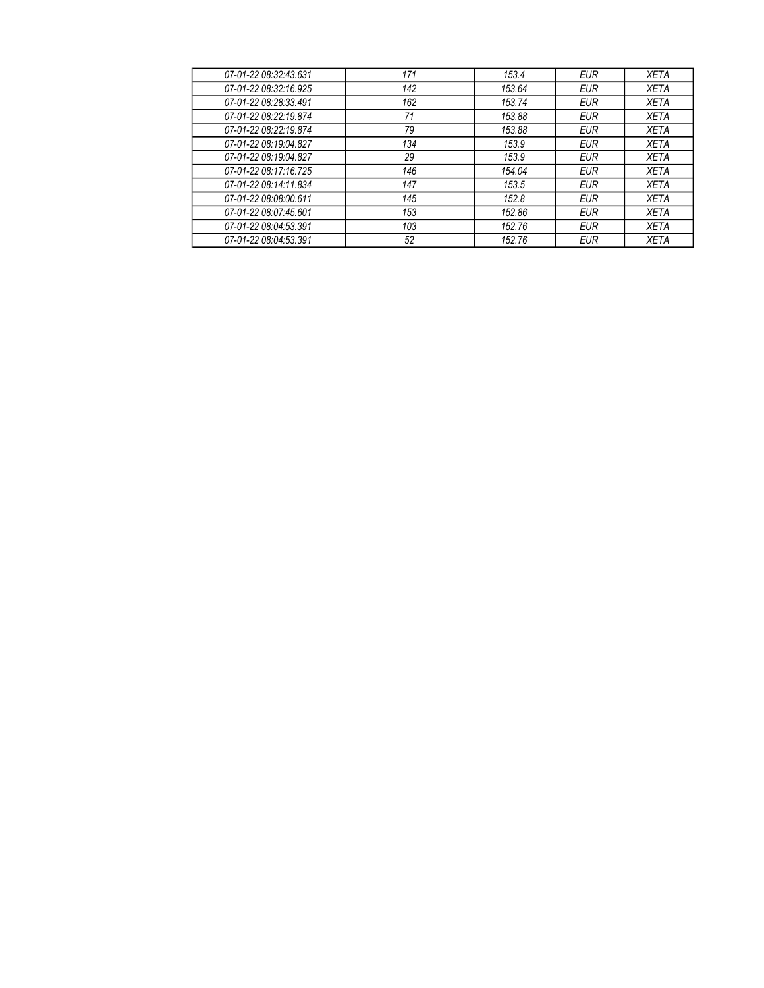| 171 | 153.4  | <b>EUR</b> | <b>XETA</b> |
|-----|--------|------------|-------------|
| 142 | 153.64 | <b>EUR</b> | <b>XETA</b> |
| 162 | 153.74 | <b>EUR</b> | <b>XETA</b> |
| 71  | 153.88 | <b>EUR</b> | <b>XETA</b> |
| 79  | 153.88 | <b>EUR</b> | <b>XETA</b> |
| 134 | 153.9  | <b>EUR</b> | <b>XETA</b> |
| 29  | 153.9  | <b>EUR</b> | <b>XETA</b> |
| 146 | 154.04 | <b>EUR</b> | <b>XETA</b> |
| 147 | 153.5  | <b>EUR</b> | <b>XETA</b> |
| 145 | 152.8  | <b>EUR</b> | <b>XETA</b> |
| 153 | 152.86 | <b>EUR</b> | <b>XETA</b> |
| 103 | 152.76 | <b>EUR</b> | <b>XETA</b> |
| 52  | 152.76 | <b>EUR</b> | <b>XETA</b> |
|     |        |            |             |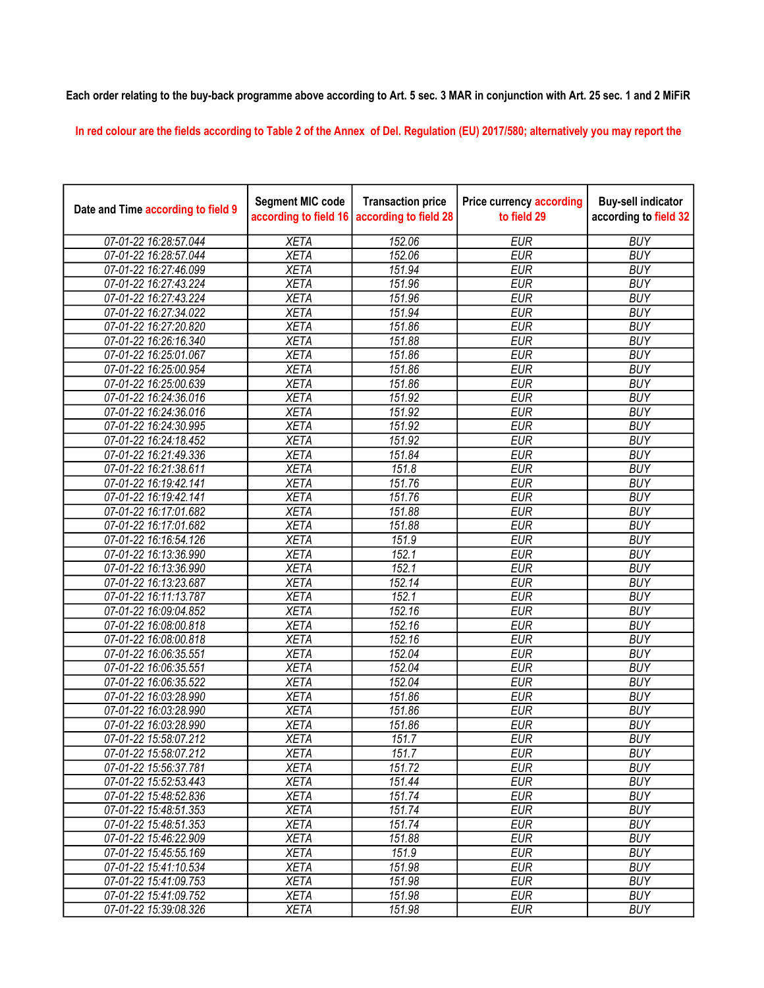## Each order relating to the buy-back programme above according to Art. 5 sec. 3 MAR in conjunction with Art. 25 sec. 1 and 2 MiFiR

In red colour are the fields according to Table 2 of the Annex of Del. Regulation (EU) 2017/580; alternatively you may report the

| Date and Time according to field 9 | <b>Segment MIC code</b><br>according to field 16 | <b>Transaction price</b><br>according to field 28 | <b>Price currency according</b><br>to field 29 | <b>Buy-sell indicator</b><br>according to field 32 |
|------------------------------------|--------------------------------------------------|---------------------------------------------------|------------------------------------------------|----------------------------------------------------|
| 07-01-22 16:28:57.044              | <b>XETA</b>                                      | 152.06                                            | <b>EUR</b>                                     | <b>BUY</b>                                         |
| 07-01-22 16:28:57.044              | <b>XETA</b>                                      | 152.06                                            | <b>EUR</b>                                     | <b>BUY</b>                                         |
| 07-01-22 16:27:46.099              | <b>XETA</b>                                      | 151.94                                            | <b>EUR</b>                                     | <b>BUY</b>                                         |
| 07-01-22 16:27:43.224              | <b>XETA</b>                                      | 151.96                                            | <b>EUR</b>                                     | <b>BUY</b>                                         |
| 07-01-22 16:27:43.224              | <b>XETA</b>                                      | 151.96                                            | <b>EUR</b>                                     | <b>BUY</b>                                         |
| 07-01-22 16:27:34.022              | <b>XETA</b>                                      | 151.94                                            | <b>EUR</b>                                     | <b>BUY</b>                                         |
| 07-01-22 16:27:20.820              | <b>XETA</b>                                      | 151.86                                            | <b>EUR</b>                                     | <b>BUY</b>                                         |
| 07-01-22 16:26:16.340              | <b>XETA</b>                                      | 151.88                                            | <b>EUR</b>                                     | <b>BUY</b>                                         |
| 07-01-22 16:25:01.067              | <b>XETA</b>                                      | 151.86                                            | <b>EUR</b>                                     | <b>BUY</b>                                         |
| 07-01-22 16:25:00.954              | <b>XETA</b>                                      | 151.86                                            | <b>EUR</b>                                     | <b>BUY</b>                                         |
| 07-01-22 16:25:00.639              | <b>XETA</b>                                      | 151.86                                            | <b>EUR</b>                                     | <b>BUY</b>                                         |
| 07-01-22 16:24:36.016              | <b>XETA</b>                                      | 151.92                                            | <b>EUR</b>                                     | <b>BUY</b>                                         |
| 07-01-22 16:24:36.016              | <b>XETA</b>                                      | 151.92                                            | <b>EUR</b>                                     | <b>BUY</b>                                         |
| 07-01-22 16:24:30.995              | <b>XETA</b>                                      | 151.92                                            | <b>EUR</b>                                     | <b>BUY</b>                                         |
| 07-01-22 16:24:18.452              | <b>XETA</b>                                      | 151.92                                            | <b>EUR</b>                                     | <b>BUY</b>                                         |
| 07-01-22 16:21:49.336              | <b>XETA</b>                                      | 151.84                                            | <b>EUR</b>                                     | <b>BUY</b>                                         |
| 07-01-22 16:21:38.611              | <b>XETA</b>                                      | 151.8                                             | <b>EUR</b>                                     | <b>BUY</b>                                         |
| 07-01-22 16:19:42.141              | <b>XETA</b>                                      | 151.76                                            | <b>EUR</b>                                     | <b>BUY</b>                                         |
| 07-01-22 16:19:42.141              | <b>XETA</b>                                      | 151.76                                            | <b>EUR</b>                                     | <b>BUY</b>                                         |
| 07-01-22 16:17:01.682              | <b>XETA</b>                                      | 151.88                                            | <b>EUR</b>                                     | <b>BUY</b>                                         |
| 07-01-22 16:17:01.682              | <b>XETA</b>                                      | 151.88                                            | <b>EUR</b>                                     | <b>BUY</b>                                         |
| 07-01-22 16:16:54.126              | <b>XETA</b>                                      | 151.9                                             | <b>EUR</b>                                     | <b>BUY</b>                                         |
| 07-01-22 16:13:36.990              | <b>XETA</b>                                      | 152.1                                             | <b>EUR</b>                                     | <b>BUY</b>                                         |
| 07-01-22 16:13:36.990              | <b>XETA</b>                                      | 152.1                                             | <b>EUR</b>                                     | <b>BUY</b>                                         |
| 07-01-22 16:13:23.687              | <b>XETA</b>                                      | 152.14                                            | <b>EUR</b>                                     | <b>BUY</b>                                         |
| 07-01-22 16:11:13.787              | <b>XETA</b>                                      | 152.1                                             | <b>EUR</b>                                     | <b>BUY</b>                                         |
| 07-01-22 16:09:04.852              | <b>XETA</b>                                      | 152.16                                            | <b>EUR</b>                                     | <b>BUY</b>                                         |
| 07-01-22 16:08:00.818              | <b>XETA</b>                                      | 152.16                                            | <b>EUR</b>                                     | <b>BUY</b>                                         |
| 07-01-22 16:08:00.818              | <b>XETA</b>                                      | 152.16                                            | <b>EUR</b>                                     | <b>BUY</b>                                         |
| 07-01-22 16:06:35.551              | <b>XETA</b>                                      | 152.04                                            | <b>EUR</b>                                     | <b>BUY</b>                                         |
| 07-01-22 16:06:35.551              | <b>XETA</b>                                      | 152.04                                            | <b>EUR</b>                                     | <b>BUY</b>                                         |
| 07-01-22 16:06:35.522              | <b>XETA</b>                                      | 152.04                                            | <b>EUR</b>                                     | <b>BUY</b>                                         |
| 07-01-22 16:03:28.990              | <b>XETA</b>                                      | 151.86                                            | <b>EUR</b>                                     | <b>BUY</b>                                         |
| 07-01-22 16:03:28.990              | <b>XETA</b>                                      | 151.86                                            | <b>EUR</b>                                     | <b>BUY</b>                                         |
| 07-01-22 16:03:28.990              | <b>XETA</b>                                      | 151.86                                            | <b>EUR</b>                                     | <b>BUY</b>                                         |
| 07-01-22 15:58:07.212              | <b>XETA</b>                                      | 151.7                                             | <b>EUR</b>                                     | <b>BUY</b>                                         |
| 07-01-22 15:58:07.212              | <b>XETA</b>                                      | 151.7                                             | <b>EUR</b>                                     | <b>BUY</b>                                         |
| 07-01-22 15:56:37.781              | <b>XETA</b>                                      | 151.72                                            | <b>EUR</b>                                     | <b>BUY</b>                                         |
| 07-01-22 15:52:53.443              | <b>XETA</b>                                      | 151.44                                            | <b>EUR</b>                                     | <b>BUY</b>                                         |
| 07-01-22 15:48:52.836              | <b>XETA</b>                                      | 151.74                                            | <b>EUR</b>                                     | <b>BUY</b>                                         |
| 07-01-22 15:48:51.353              | <b>XETA</b>                                      | 151.74                                            | <b>EUR</b>                                     | <b>BUY</b>                                         |
| 07-01-22 15:48:51.353              | <b>XETA</b>                                      | 151.74                                            | <b>EUR</b>                                     | <b>BUY</b>                                         |
| 07-01-22 15:46:22.909              | <b>XETA</b>                                      | 151.88                                            | <b>EUR</b>                                     | <b>BUY</b>                                         |
| 07-01-22 15:45:55.169              | <b>XETA</b>                                      | 151.9                                             | <b>EUR</b>                                     | <b>BUY</b>                                         |
| 07-01-22 15:41:10.534              | <b>XETA</b>                                      | 151.98                                            | <b>EUR</b>                                     | <b>BUY</b>                                         |
| 07-01-22 15:41:09.753              | <b>XETA</b>                                      | 151.98                                            | <b>EUR</b>                                     | <b>BUY</b>                                         |
| 07-01-22 15:41:09.752              | <b>XETA</b>                                      | 151.98                                            | <b>EUR</b>                                     | <b>BUY</b>                                         |
| 07-01-22 15:39:08.326              | <b>XETA</b>                                      | 151.98                                            | <b>EUR</b>                                     | <b>BUY</b>                                         |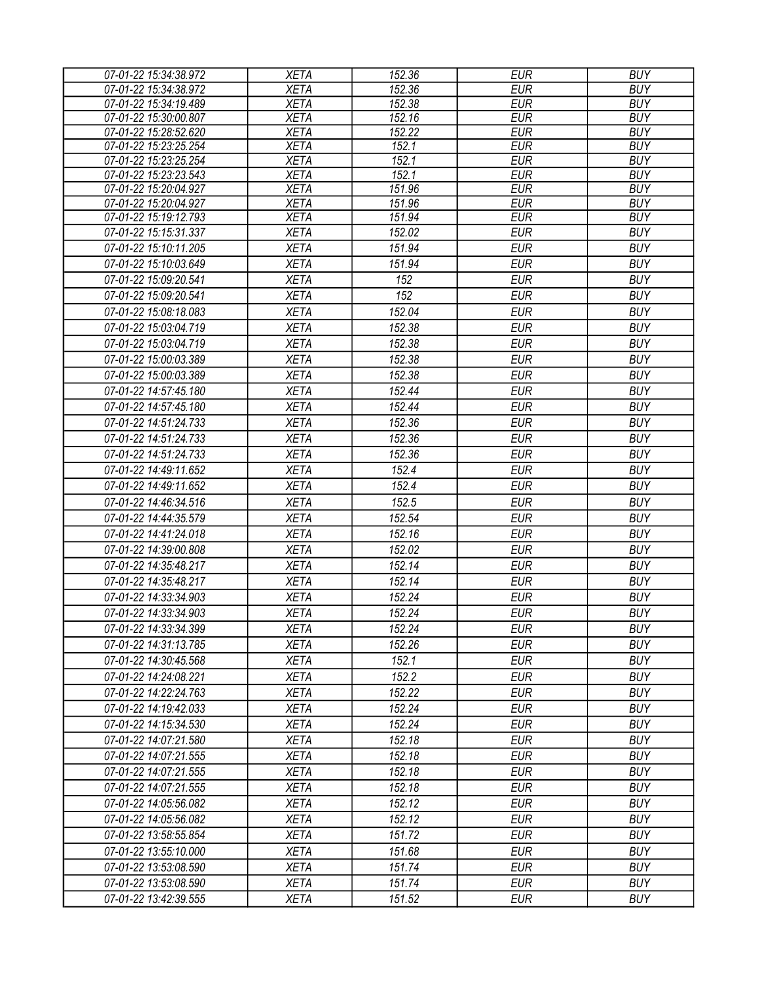| 07-01-22 15:34:38.972                          | <b>XETA</b>                | 152.36           | <b>EUR</b>               | <b>BUY</b>               |
|------------------------------------------------|----------------------------|------------------|--------------------------|--------------------------|
| 07-01-22 15:34:38.972                          | <b>XETA</b>                | 152.36           | <b>EUR</b>               | <b>BUY</b>               |
| 07-01-22 15:34:19.489                          | <b>XETA</b>                | 152.38           | <b>EUR</b>               | <b>BUY</b>               |
| 07-01-22 15:30:00.807                          | <b>XETA</b>                | 152.16           | <b>EUR</b>               | <b>BUY</b>               |
| 07-01-22 15:28:52.620                          | <b>XETA</b>                | 152.22           | <b>EUR</b>               | <b>BUY</b>               |
| 07-01-22 15:23:25.254                          | <b>XETA</b>                | 152.1            | <b>EUR</b>               | <b>BUY</b>               |
| 07-01-22 15:23:25.254                          | <b>XETA</b>                | 152.1            | <b>EUR</b>               | <b>BUY</b>               |
| 07-01-22 15:23:23.543                          | <b>XETA</b>                | 152.1            | <b>EUR</b>               | <b>BUY</b>               |
| 07-01-22 15:20:04.927<br>07-01-22 15:20:04.927 | <b>XETA</b><br><b>XETA</b> | 151.96           | <b>EUR</b><br><b>EUR</b> | <b>BUY</b><br><b>BUY</b> |
| 07-01-22 15:19:12.793                          | <b>XETA</b>                | 151.96<br>151.94 | <b>EUR</b>               | <b>BUY</b>               |
| 07-01-22 15:15:31.337                          | <b>XETA</b>                | 152.02           | <b>EUR</b>               | <b>BUY</b>               |
| 07-01-22 15:10:11.205                          | <b>XETA</b>                | 151.94           | <b>EUR</b>               | <b>BUY</b>               |
| 07-01-22 15:10:03.649                          | <b>XETA</b>                | 151.94           | <b>EUR</b>               | <b>BUY</b>               |
|                                                |                            | 152              |                          | <b>BUY</b>               |
| 07-01-22 15:09:20.541                          | <b>XETA</b>                |                  | <b>EUR</b>               |                          |
| 07-01-22 15:09:20.541                          | <b>XETA</b>                | 152              | <b>EUR</b>               | <b>BUY</b>               |
| 07-01-22 15:08:18.083                          | <b>XETA</b>                | 152.04           | <b>EUR</b>               | <b>BUY</b>               |
| 07-01-22 15:03:04.719                          | <b>XETA</b>                | 152.38           | <b>EUR</b>               | <b>BUY</b>               |
| 07-01-22 15:03:04.719                          | <b>XETA</b>                | 152.38           | <b>EUR</b>               | <b>BUY</b>               |
| 07-01-22 15:00:03.389                          | <b>XETA</b>                | 152.38           | <b>EUR</b>               | <b>BUY</b>               |
| 07-01-22 15:00:03.389                          | <b>XETA</b>                | 152.38           | <b>EUR</b>               | <b>BUY</b>               |
| 07-01-22 14:57:45.180                          | <b>XETA</b>                | 152.44           | <b>EUR</b>               | <b>BUY</b>               |
| 07-01-22 14:57:45.180                          | <b>XETA</b>                | 152.44           | <b>EUR</b>               | <b>BUY</b>               |
| 07-01-22 14:51:24.733                          | <b>XETA</b>                | 152.36           | <b>EUR</b>               | <b>BUY</b>               |
| 07-01-22 14:51:24.733                          | <b>XETA</b>                | 152.36           | <b>EUR</b>               | <b>BUY</b>               |
| 07-01-22 14:51:24.733                          | <b>XETA</b>                | 152.36           | <b>EUR</b>               | <b>BUY</b>               |
| 07-01-22 14:49:11.652                          | <b>XETA</b>                | 152.4            | <b>EUR</b>               | <b>BUY</b>               |
| 07-01-22 14:49:11.652                          | <b>XETA</b>                | 152.4            | <b>EUR</b>               | <b>BUY</b>               |
| 07-01-22 14:46:34.516                          | <b>XETA</b>                | 152.5            | <b>EUR</b>               | <b>BUY</b>               |
| 07-01-22 14:44:35.579                          | <b>XETA</b>                | 152.54           | <b>EUR</b>               | <b>BUY</b>               |
| 07-01-22 14:41:24.018                          | <b>XETA</b>                | 152.16           | <b>EUR</b>               | <b>BUY</b>               |
| 07-01-22 14:39:00.808                          | <b>XETA</b>                | 152.02           | <b>EUR</b>               | <b>BUY</b>               |
| 07-01-22 14:35:48.217                          | <b>XETA</b>                | 152.14           | <b>EUR</b>               | <b>BUY</b>               |
| 07-01-22 14:35:48.217                          | <b>XETA</b>                | 152.14           | <b>EUR</b>               | <b>BUY</b>               |
| 07-01-22 14:33:34.903                          | <b>XETA</b>                | 152.24           | <b>EUR</b>               | <b>BUY</b>               |
| 07-01-22 14:33:34.903                          | <b>XETA</b>                | 152.24           | <b>EUR</b>               | <b>BUY</b>               |
| 07-01-22 14:33:34.399                          | <b>XETA</b>                | 152.24           | <b>EUR</b>               | <b>BUY</b>               |
| 07-01-22 14:31:13.785                          | <b>XETA</b>                | 152.26           | <b>EUR</b>               | <b>BUY</b>               |
| 07-01-22 14:30:45.568                          | <b>XETA</b>                | 152.1            | <b>EUR</b>               | <b>BUY</b>               |
| 07-01-22 14:24:08.221                          | <b>XETA</b>                | 152.2            | <b>EUR</b>               | <b>BUY</b>               |
| 07-01-22 14:22:24.763                          | <b>XETA</b>                | 152.22           | <b>EUR</b>               | <b>BUY</b>               |
| 07-01-22 14:19:42.033                          | <b>XETA</b>                | 152.24           | <b>EUR</b>               | <b>BUY</b>               |
| 07-01-22 14:15:34.530                          | <b>XETA</b>                | 152.24           | <b>EUR</b>               | <b>BUY</b>               |
| 07-01-22 14:07:21.580                          | <b>XETA</b>                | 152.18           | <b>EUR</b>               | <b>BUY</b>               |
| 07-01-22 14:07:21.555                          | <b>XETA</b>                | 152.18           | <b>EUR</b>               | <b>BUY</b>               |
|                                                |                            |                  |                          |                          |
| 07-01-22 14:07:21.555                          | <b>XETA</b>                | 152.18           | <b>EUR</b>               | <b>BUY</b>               |
| 07-01-22 14:07:21.555                          | <b>XETA</b>                | 152.18           | <b>EUR</b>               | <b>BUY</b>               |
| 07-01-22 14:05:56.082                          | <b>XETA</b>                | 152.12           | <b>EUR</b>               | <b>BUY</b>               |
| 07-01-22 14:05:56.082                          | <b>XETA</b>                | 152.12           | <b>EUR</b>               | <b>BUY</b>               |
| 07-01-22 13:58:55.854                          | <b>XETA</b>                | 151.72           | <b>EUR</b>               | <b>BUY</b>               |
| 07-01-22 13:55:10.000                          | <b>XETA</b>                | 151.68           | <b>EUR</b>               | <b>BUY</b>               |
| 07-01-22 13:53:08.590                          | <b>XETA</b>                | 151.74           | <b>EUR</b>               | <b>BUY</b>               |
| 07-01-22 13:53:08.590                          | <b>XETA</b>                | 151.74           | <b>EUR</b>               | <b>BUY</b>               |
| 07-01-22 13:42:39.555                          | <b>XETA</b>                | 151.52           | <b>EUR</b>               | <b>BUY</b>               |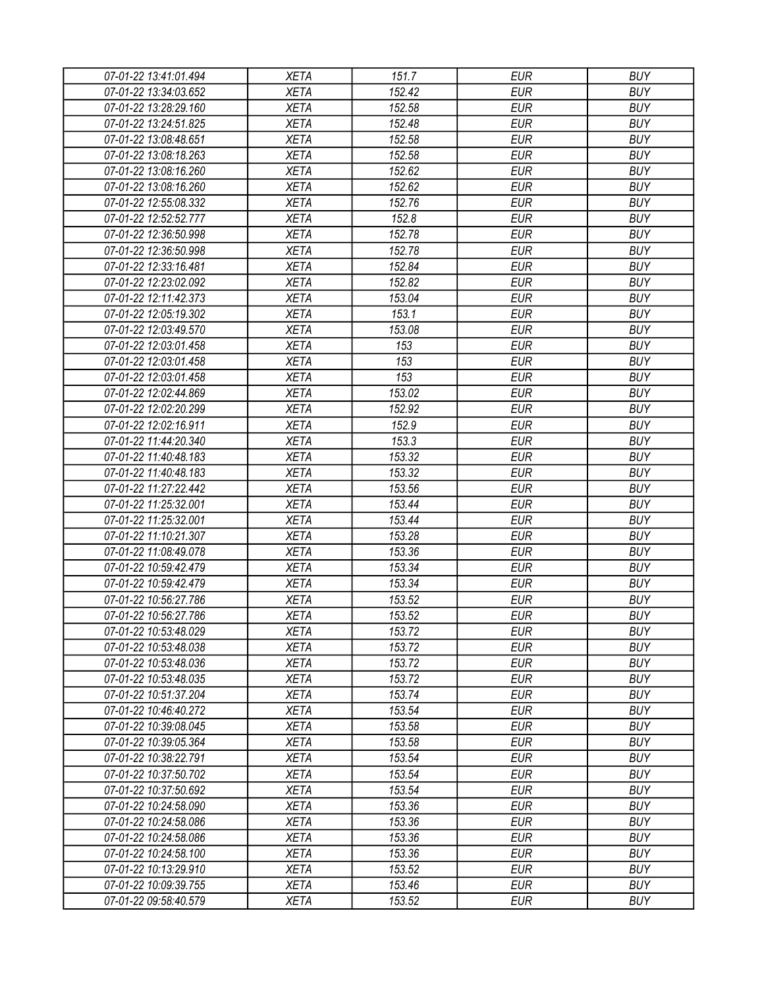| 07-01-22 13:41:01.494 | <b>XETA</b> | 151.7  | <b>EUR</b> | <b>BUY</b> |
|-----------------------|-------------|--------|------------|------------|
| 07-01-22 13:34:03.652 | <b>XETA</b> | 152.42 | <b>EUR</b> | <b>BUY</b> |
| 07-01-22 13:28:29.160 | <b>XETA</b> | 152.58 | <b>EUR</b> | <b>BUY</b> |
| 07-01-22 13:24:51.825 | <b>XETA</b> | 152.48 | <b>EUR</b> | <b>BUY</b> |
| 07-01-22 13:08:48.651 | <b>XETA</b> | 152.58 | <b>EUR</b> | <b>BUY</b> |
| 07-01-22 13:08:18.263 | <b>XETA</b> | 152.58 | <b>EUR</b> | <b>BUY</b> |
| 07-01-22 13:08:16.260 | <b>XETA</b> | 152.62 | <b>EUR</b> | <b>BUY</b> |
| 07-01-22 13:08:16.260 | <b>XETA</b> | 152.62 | <b>EUR</b> | <b>BUY</b> |
| 07-01-22 12:55:08.332 | <b>XETA</b> | 152.76 | <b>EUR</b> | <b>BUY</b> |
| 07-01-22 12:52:52.777 | <b>XETA</b> | 152.8  | <b>EUR</b> | <b>BUY</b> |
| 07-01-22 12:36:50.998 | <b>XETA</b> | 152.78 | <b>EUR</b> | <b>BUY</b> |
| 07-01-22 12:36:50.998 | <b>XETA</b> | 152.78 | <b>EUR</b> | <b>BUY</b> |
| 07-01-22 12:33:16.481 | <b>XETA</b> | 152.84 | <b>EUR</b> | <b>BUY</b> |
| 07-01-22 12:23:02.092 | <b>XETA</b> | 152.82 | <b>EUR</b> | <b>BUY</b> |
| 07-01-22 12:11:42.373 | <b>XETA</b> | 153.04 | <b>EUR</b> | <b>BUY</b> |
| 07-01-22 12:05:19.302 | <b>XETA</b> | 153.1  | <b>EUR</b> | <b>BUY</b> |
| 07-01-22 12:03:49.570 | <b>XETA</b> | 153.08 | <b>EUR</b> | <b>BUY</b> |
| 07-01-22 12:03:01.458 | <b>XETA</b> | 153    | <b>EUR</b> | <b>BUY</b> |
| 07-01-22 12:03:01.458 | <b>XETA</b> | 153    | <b>EUR</b> | <b>BUY</b> |
| 07-01-22 12:03:01.458 | <b>XETA</b> | 153    | <b>EUR</b> | <b>BUY</b> |
| 07-01-22 12:02:44.869 | <b>XETA</b> | 153.02 | <b>EUR</b> | <b>BUY</b> |
| 07-01-22 12:02:20.299 | <b>XETA</b> | 152.92 | <b>EUR</b> | <b>BUY</b> |
| 07-01-22 12:02:16.911 | <b>XETA</b> | 152.9  | <b>EUR</b> | <b>BUY</b> |
|                       |             | 153.3  | <b>EUR</b> |            |
| 07-01-22 11:44:20.340 | <b>XETA</b> |        |            | <b>BUY</b> |
| 07-01-22 11:40:48.183 | <b>XETA</b> | 153.32 | <b>EUR</b> | <b>BUY</b> |
| 07-01-22 11:40:48.183 | <b>XETA</b> | 153.32 | <b>EUR</b> | <b>BUY</b> |
| 07-01-22 11:27:22.442 | <b>XETA</b> | 153.56 | <b>EUR</b> | <b>BUY</b> |
| 07-01-22 11:25:32.001 | <b>XETA</b> | 153.44 | <b>EUR</b> | <b>BUY</b> |
| 07-01-22 11:25:32.001 | <b>XETA</b> | 153.44 | <b>EUR</b> | <b>BUY</b> |
| 07-01-22 11:10:21.307 | <b>XETA</b> | 153.28 | <b>EUR</b> | <b>BUY</b> |
| 07-01-22 11:08:49.078 | <b>XETA</b> | 153.36 | <b>EUR</b> | <b>BUY</b> |
| 07-01-22 10:59:42.479 | <b>XETA</b> | 153.34 | <b>EUR</b> | <b>BUY</b> |
| 07-01-22 10:59:42.479 | <b>XETA</b> | 153.34 | <b>EUR</b> | <b>BUY</b> |
| 07-01-22 10:56:27.786 | <b>XETA</b> | 153.52 | <b>EUR</b> | <b>BUY</b> |
| 07-01-22 10:56:27.786 | <b>XETA</b> | 153.52 | <b>EUR</b> | <b>BUY</b> |
| 07-01-22 10:53:48.029 | <b>XETA</b> | 153.72 | <b>EUR</b> | <b>BUY</b> |
| 07-01-22 10:53:48.038 | <b>XETA</b> | 153.72 | <b>EUR</b> | <b>BUY</b> |
| 07-01-22 10:53:48.036 | <b>XETA</b> | 153.72 | <b>EUR</b> | <b>BUY</b> |
| 07-01-22 10:53:48.035 | <b>XETA</b> | 153.72 | <b>EUR</b> | <b>BUY</b> |
| 07-01-22 10:51:37.204 | <b>XETA</b> | 153.74 | <b>EUR</b> | <b>BUY</b> |
| 07-01-22 10:46:40.272 | <b>XETA</b> | 153.54 | <b>EUR</b> | <b>BUY</b> |
| 07-01-22 10:39:08.045 | <b>XETA</b> | 153.58 | <b>EUR</b> | <b>BUY</b> |
| 07-01-22 10:39:05.364 | <b>XETA</b> | 153.58 | <b>EUR</b> | <b>BUY</b> |
| 07-01-22 10:38:22.791 | <b>XETA</b> | 153.54 | <b>EUR</b> | <b>BUY</b> |
| 07-01-22 10:37:50.702 | <b>XETA</b> | 153.54 | <b>EUR</b> | <b>BUY</b> |
| 07-01-22 10:37:50.692 | <b>XETA</b> | 153.54 | <b>EUR</b> | <b>BUY</b> |
| 07-01-22 10:24:58.090 | <b>XETA</b> | 153.36 | <b>EUR</b> | <b>BUY</b> |
| 07-01-22 10:24:58.086 | <b>XETA</b> | 153.36 | <b>EUR</b> | <b>BUY</b> |
| 07-01-22 10:24:58.086 | <b>XETA</b> | 153.36 | <b>EUR</b> | <b>BUY</b> |
| 07-01-22 10:24:58.100 | <b>XETA</b> | 153.36 | <b>EUR</b> | <b>BUY</b> |
| 07-01-22 10:13:29.910 | <b>XETA</b> | 153.52 | <b>EUR</b> | <b>BUY</b> |
| 07-01-22 10:09:39.755 | <b>XETA</b> | 153.46 | <b>EUR</b> | <b>BUY</b> |
| 07-01-22 09:58:40.579 | <b>XETA</b> | 153.52 | <b>EUR</b> | <b>BUY</b> |